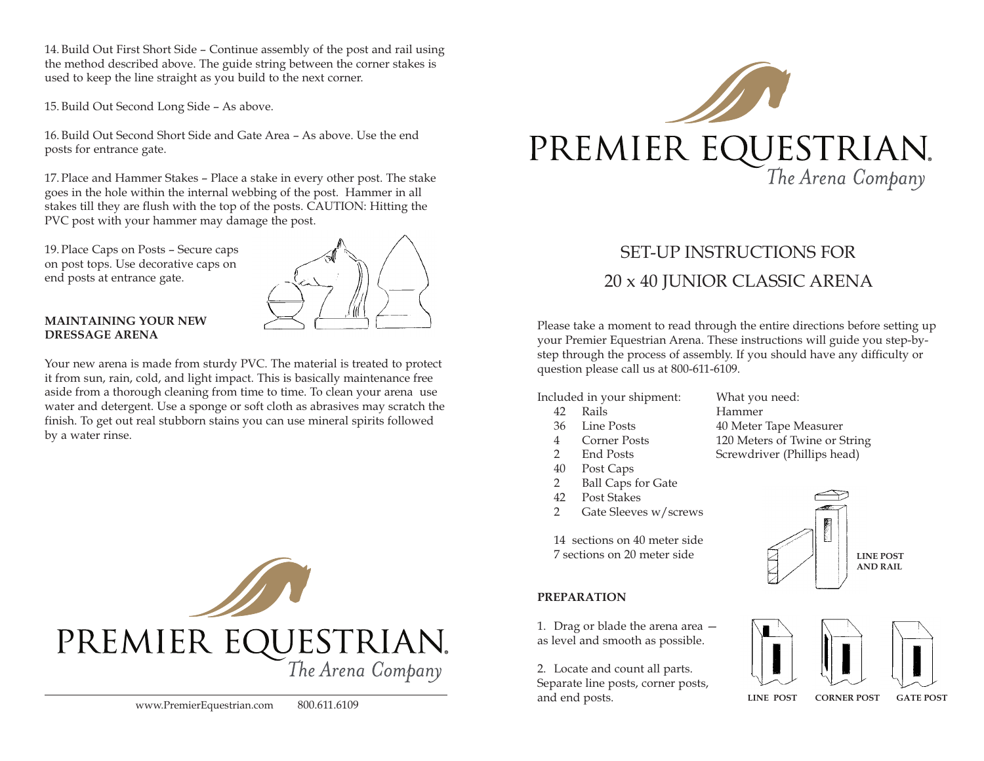14.Build Out First Short Side – Continue assembly of the post and rail using the method described above. The guide string between the corner stakes is used to keep the line straight as you build to the next corner.

15.Build Out Second Long Side – As above.

16.Build Out Second Short Side and Gate Area – As above. Use the end posts for entrance gate.

17. Place and Hammer Stakes – Place a stake in every other post. The stake goes in the hole within the internal webbing of the post. Hammer in all stakes till they are flush with the top of the posts. CAUTION: Hitting the PVC post with your hammer may damage the post.

19. Place Caps on Posts – Secure caps on post tops. Use decorative caps on end posts at entrance gate.



## **MAINTAINING YOUR NEW DRESSAGE ARENA**

Your new arena is made from sturdy PVC. The material is treated to protect it from sun, rain, cold, and light impact. This is basically maintenance free aside from a thorough cleaning from time to time. To clean your arena use water and detergent. Use a sponge or soft cloth as abrasives may scratch the finish. To get out real stubborn stains you can use mineral spirits followed by a water rinse.





# SET-UP INSTRUCTIONS FOR 20 x 40 JUNIOR CLASSIC ARENA

Please take a moment to read through the entire directions before setting up your Premier Equestrian Arena. These instructions will guide you step-bystep through the process of assembly. If you should have any difficulty or question please call us at 800-611-6109.

Included in your shipment: What you need:

- 42 Rails Hammer
- 
- 
- 
- 40 Post Caps
- 2 Ball Caps for Gate
- 42 Post Stakes
- 2 Gate Sleeves w/screws

14 sections on 40 meter side 7 sections on 20 meter side

## **PREPARATION**

1. Drag or blade the arena area as level and smooth as possible.

2. Locate and count all parts. Separate line posts, corner posts, and end posts.

36 Line Posts 40 Meter Tape Measurer 4 Corner Posts 120 Meters of Twine or String 2 End Posts Screwdriver (Phillips head)